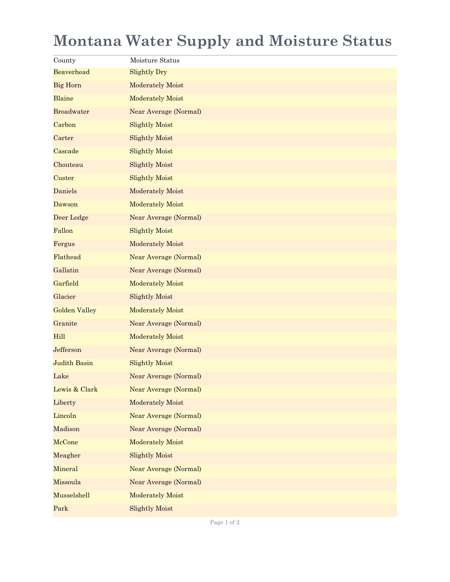## **Montana Water Supply and Moisture Status**

| County               | Moisture Status         |
|----------------------|-------------------------|
| Beaverhead           | <b>Slightly Dry</b>     |
| <b>Big Horn</b>      | Moderately Moist        |
| <b>Blaine</b>        | Moderately Moist        |
| <b>Broadwater</b>    | Near Average (Normal)   |
| Carbon               | <b>Slightly Moist</b>   |
| Carter               | <b>Slightly Moist</b>   |
| Cascade              | <b>Slightly Moist</b>   |
| Chouteau             | <b>Slightly Moist</b>   |
| Custer               | <b>Slightly Moist</b>   |
| <b>Daniels</b>       | Moderately Moist        |
| Dawson               | Moderately Moist        |
| Deer Lodge           | Near Average (Normal)   |
| Fallon               | <b>Slightly Moist</b>   |
| Fergus               | Moderately Moist        |
| Flathead             | Near Average (Normal)   |
| Gallatin             | Near Average (Normal)   |
| Garfield             | <b>Moderately Moist</b> |
| Glacier              | <b>Slightly Moist</b>   |
| <b>Golden Valley</b> | <b>Moderately Moist</b> |
| Granite              | Near Average (Normal)   |
| Hill                 | <b>Moderately Moist</b> |
| Jefferson            | Near Average (Normal)   |
| <b>Judith Basin</b>  | <b>Slightly Moist</b>   |
| Lake                 | Near Average (Normal)   |
| Lewis & Clark        | Near Average (Normal)   |
| Liberty              | Moderately Moist        |
| Lincoln              | Near Average (Normal)   |
| Madison              | Near Average (Normal)   |
| McCone               | Moderately Moist        |
| Meagher              | <b>Slightly Moist</b>   |
| Mineral              | Near Average (Normal)   |
| Missoula             | Near Average (Normal)   |
| Musselshell          | Moderately Moist        |
| Park                 | <b>Slightly Moist</b>   |